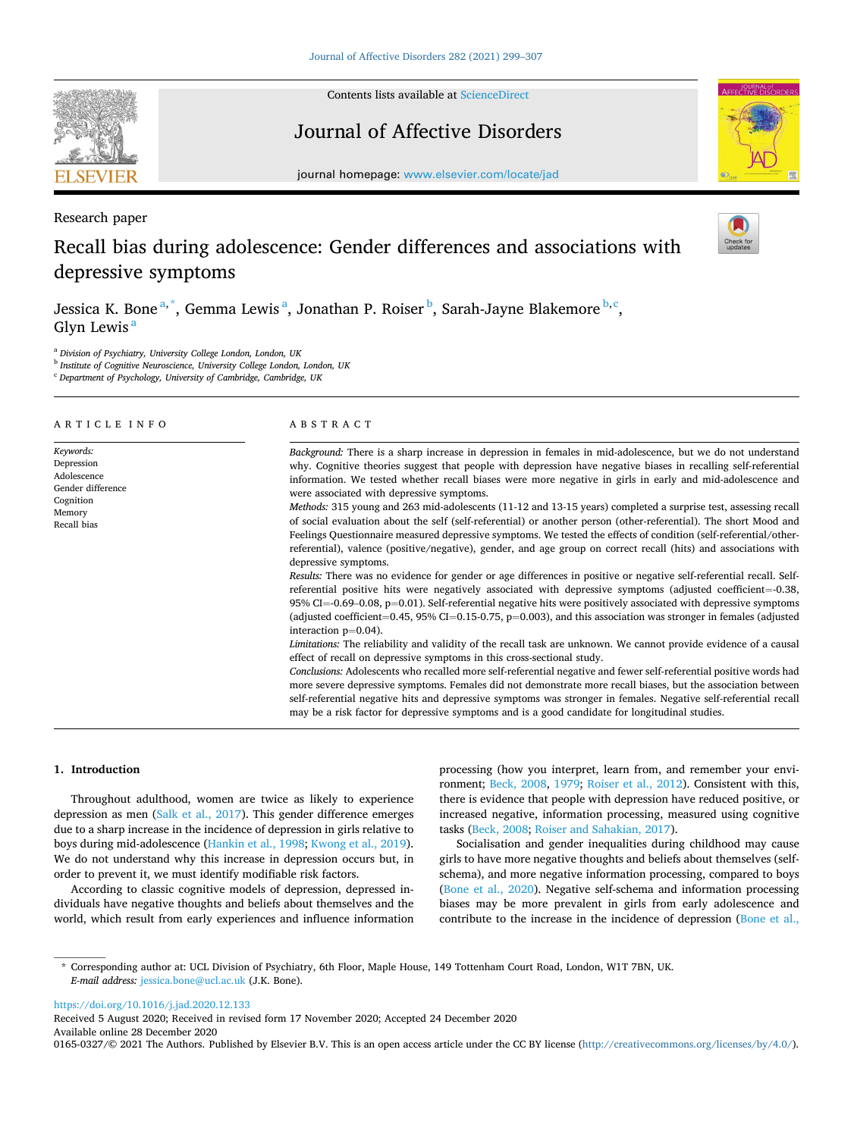

Contents lists available at [ScienceDirect](www.sciencedirect.com/science/journal/01650327)

## Journal of Affective Disorders



journal homepage: [www.elsevier.com/locate/jad](https://www.elsevier.com/locate/jad)

## Research paper

# Recall bias during adolescence: Gender differences and associations with depressive symptoms

Jessica K. Bone<sup>a,\*</sup>, Gemma Lewis<sup>a</sup>, Jonathan P. Roiser<sup>b</sup>, Sarah-Jayne Blakemore<sup>b,c</sup>, Glyn Lewis<sup>a</sup>

<sup>a</sup> *Division of Psychiatry, University College London, London, UK* 

<sup>b</sup> *Institute of Cognitive Neuroscience, University College London, London, UK* 

<sup>c</sup> *Department of Psychology, University of Cambridge, Cambridge, UK* 

| Background: There is a sharp increase in depression in females in mid-adolescence, but we do not understand<br>why. Cognitive theories suggest that people with depression have negative biases in recalling self-referential<br>information. We tested whether recall biases were more negative in girls in early and mid-adolescence and                                                                                                                                                                                                                                                                                                                                                                                                                                                                                                                                                                                                                                                                                                                                                                                                                                                                                                                                                                                                                                                                                                                                                                                                                                                                                                                                                                          |
|---------------------------------------------------------------------------------------------------------------------------------------------------------------------------------------------------------------------------------------------------------------------------------------------------------------------------------------------------------------------------------------------------------------------------------------------------------------------------------------------------------------------------------------------------------------------------------------------------------------------------------------------------------------------------------------------------------------------------------------------------------------------------------------------------------------------------------------------------------------------------------------------------------------------------------------------------------------------------------------------------------------------------------------------------------------------------------------------------------------------------------------------------------------------------------------------------------------------------------------------------------------------------------------------------------------------------------------------------------------------------------------------------------------------------------------------------------------------------------------------------------------------------------------------------------------------------------------------------------------------------------------------------------------------------------------------------------------------|
| were associated with depressive symptoms.<br>Methods: 315 young and 263 mid-adolescents (11-12 and 13-15 years) completed a surprise test, assessing recall<br>of social evaluation about the self (self-referential) or another person (other-referential). The short Mood and<br>Feelings Questionnaire measured depressive symptoms. We tested the effects of condition (self-referential/other-<br>referential), valence (positive/negative), gender, and age group on correct recall (hits) and associations with<br>depressive symptoms.<br>Results: There was no evidence for gender or age differences in positive or negative self-referential recall. Self-<br>referential positive hits were negatively associated with depressive symptoms (adjusted coefficient=-0.38,<br>95% CI $=$ -0.69–0.08, p=0.01). Self-referential negative hits were positively associated with depressive symptoms<br>(adjusted coefficient=0.45, 95% CI=0.15-0.75, $p=0.003$ ), and this association was stronger in females (adjusted<br>interaction $p=0.04$ ).<br>Limitations: The reliability and validity of the recall task are unknown. We cannot provide evidence of a causal<br>effect of recall on depressive symptoms in this cross-sectional study.<br>Conclusions: Adolescents who recalled more self-referential negative and fewer self-referential positive words had<br>more severe depressive symptoms. Females did not demonstrate more recall biases, but the association between<br>self-referential negative hits and depressive symptoms was stronger in females. Negative self-referential recall<br>may be a risk factor for depressive symptoms and is a good candidate for longitudinal studies. |
|                                                                                                                                                                                                                                                                                                                                                                                                                                                                                                                                                                                                                                                                                                                                                                                                                                                                                                                                                                                                                                                                                                                                                                                                                                                                                                                                                                                                                                                                                                                                                                                                                                                                                                                     |

### **1. Introduction**

Throughout adulthood, women are twice as likely to experience depression as men [\(Salk et al., 2017](#page-8-0)). This gender difference emerges due to a sharp increase in the incidence of depression in girls relative to boys during mid-adolescence ([Hankin et al., 1998; Kwong et al., 2019](#page-8-0)). We do not understand why this increase in depression occurs but, in order to prevent it, we must identify modifiable risk factors.

According to classic cognitive models of depression, depressed individuals have negative thoughts and beliefs about themselves and the world, which result from early experiences and influence information processing (how you interpret, learn from, and remember your environment; [Beck, 2008](#page-7-0), [1979;](#page-7-0) [Roiser et al., 2012](#page-8-0)). Consistent with this, there is evidence that people with depression have reduced positive, or increased negative, information processing, measured using cognitive tasks [\(Beck, 2008;](#page-7-0) [Roiser and Sahakian, 2017\)](#page-8-0).

Socialisation and gender inequalities during childhood may cause girls to have more negative thoughts and beliefs about themselves (selfschema), and more negative information processing, compared to boys ([Bone et al., 2020](#page-7-0)). Negative self-schema and information processing biases may be more prevalent in girls from early adolescence and contribute to the increase in the incidence of depression ([Bone et al.,](#page-7-0) 

<https://doi.org/10.1016/j.jad.2020.12.133>

Available online 28 December 2020 0165-0327/© 2021 The Authors. Published by Elsevier B.V. This is an open access article under the CC BY license [\(http://creativecommons.org/licenses/by/4.0/\)](http://creativecommons.org/licenses/by/4.0/). Received 5 August 2020; Received in revised form 17 November 2020; Accepted 24 December 2020

<sup>\*</sup> Corresponding author at: UCL Division of Psychiatry, 6th Floor, Maple House, 149 Tottenham Court Road, London, W1T 7BN, UK. *E-mail address:* [jessica.bone@ucl.ac.uk](mailto:jessica.bone@ucl.ac.uk) (J.K. Bone).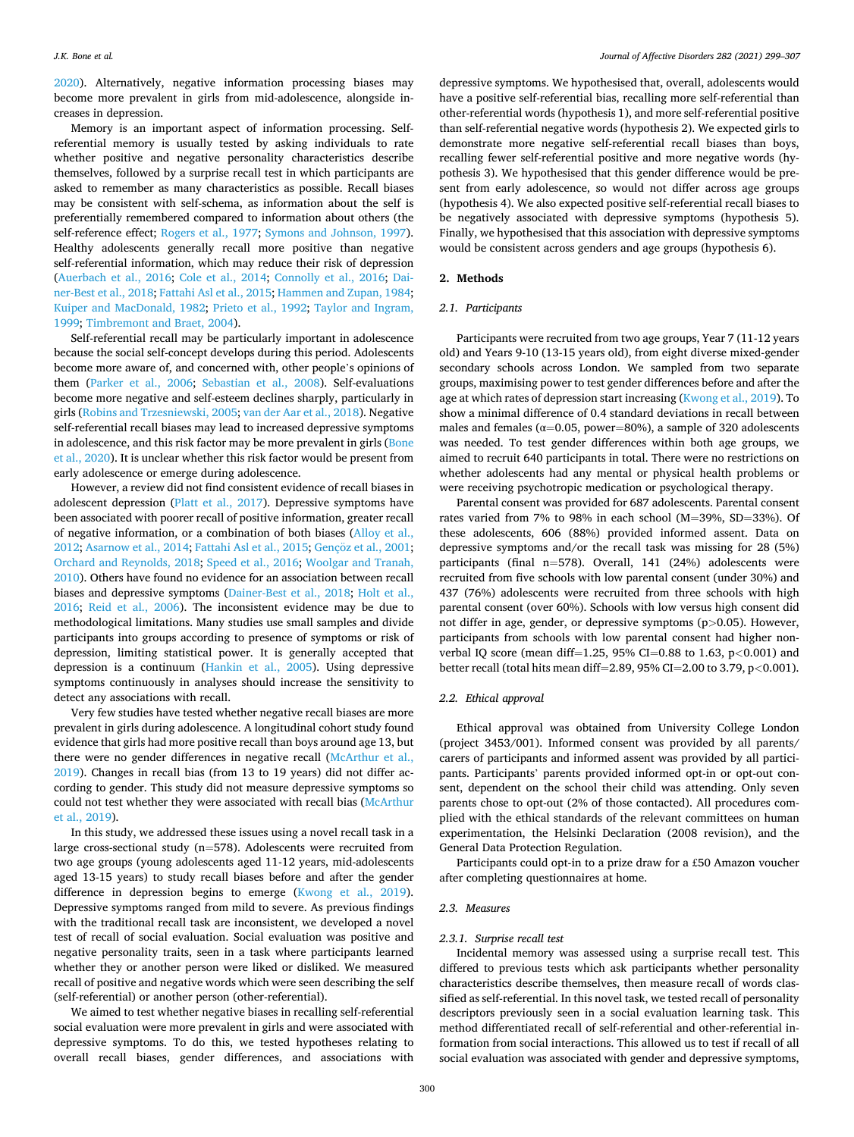[2020\)](#page-7-0). Alternatively, negative information processing biases may become more prevalent in girls from mid-adolescence, alongside increases in depression.

Memory is an important aspect of information processing. Selfreferential memory is usually tested by asking individuals to rate whether positive and negative personality characteristics describe themselves, followed by a surprise recall test in which participants are asked to remember as many characteristics as possible. Recall biases may be consistent with self-schema, as information about the self is preferentially remembered compared to information about others (the self-reference effect; [Rogers et al., 1977](#page-8-0); [Symons and Johnson, 1997](#page-8-0)). Healthy adolescents generally recall more positive than negative self-referential information, which may reduce their risk of depression ([Auerbach et al., 2016;](#page-7-0) [Cole et al., 2014](#page-7-0); [Connolly et al., 2016;](#page-7-0) [Dai](#page-7-0)[ner-Best et al., 2018](#page-7-0); [Fattahi Asl et al., 2015;](#page-7-0) [Hammen and Zupan, 1984](#page-8-0); [Kuiper and MacDonald, 1982](#page-8-0); [Prieto et al., 1992](#page-8-0); [Taylor and Ingram,](#page-8-0)  [1999; Timbremont and Braet, 2004\)](#page-8-0).

Self-referential recall may be particularly important in adolescence because the social self-concept develops during this period. Adolescents become more aware of, and concerned with, other people's opinions of them ([Parker et al., 2006;](#page-8-0) [Sebastian et al., 2008](#page-8-0)). Self-evaluations become more negative and self-esteem declines sharply, particularly in girls ([Robins and Trzesniewski, 2005; van der Aar et al., 2018\)](#page-8-0). Negative self-referential recall biases may lead to increased depressive symptoms in adolescence, and this risk factor may be more prevalent in girls [\(Bone](#page-7-0)  [et al., 2020\)](#page-7-0). It is unclear whether this risk factor would be present from early adolescence or emerge during adolescence.

However, a review did not find consistent evidence of recall biases in adolescent depression ([Platt et al., 2017](#page-8-0)). Depressive symptoms have been associated with poorer recall of positive information, greater recall of negative information, or a combination of both biases ([Alloy et al.,](#page-7-0)  [2012; Asarnow et al., 2014; Fattahi Asl et al., 2015](#page-7-0); Gençöz [et al., 2001](#page-8-0); [Orchard and Reynolds, 2018; Speed et al., 2016; Woolgar and Tranah,](#page-8-0)  [2010\)](#page-8-0). Others have found no evidence for an association between recall biases and depressive symptoms [\(Dainer-Best et al., 2018;](#page-7-0) [Holt et al.,](#page-8-0)  [2016;](#page-8-0) [Reid et al., 2006](#page-8-0)). The inconsistent evidence may be due to methodological limitations. Many studies use small samples and divide participants into groups according to presence of symptoms or risk of depression, limiting statistical power. It is generally accepted that depression is a continuum [\(Hankin et al., 2005\)](#page-8-0). Using depressive symptoms continuously in analyses should increase the sensitivity to detect any associations with recall.

Very few studies have tested whether negative recall biases are more prevalent in girls during adolescence. A longitudinal cohort study found evidence that girls had more positive recall than boys around age 13, but there were no gender differences in negative recall [\(McArthur et al.,](#page-8-0)  [2019\)](#page-8-0). Changes in recall bias (from 13 to 19 years) did not differ according to gender. This study did not measure depressive symptoms so could not test whether they were associated with recall bias ([McArthur](#page-8-0)  [et al., 2019\)](#page-8-0).

In this study, we addressed these issues using a novel recall task in a large cross-sectional study (n=578). Adolescents were recruited from two age groups (young adolescents aged 11-12 years, mid-adolescents aged 13-15 years) to study recall biases before and after the gender difference in depression begins to emerge ([Kwong et al., 2019](#page-8-0)). Depressive symptoms ranged from mild to severe. As previous findings with the traditional recall task are inconsistent, we developed a novel test of recall of social evaluation. Social evaluation was positive and negative personality traits, seen in a task where participants learned whether they or another person were liked or disliked. We measured recall of positive and negative words which were seen describing the self (self-referential) or another person (other-referential).

We aimed to test whether negative biases in recalling self-referential social evaluation were more prevalent in girls and were associated with depressive symptoms. To do this, we tested hypotheses relating to overall recall biases, gender differences, and associations with

depressive symptoms. We hypothesised that, overall, adolescents would have a positive self-referential bias, recalling more self-referential than other-referential words (hypothesis 1), and more self-referential positive than self-referential negative words (hypothesis 2). We expected girls to demonstrate more negative self-referential recall biases than boys, recalling fewer self-referential positive and more negative words (hypothesis 3). We hypothesised that this gender difference would be present from early adolescence, so would not differ across age groups (hypothesis 4). We also expected positive self-referential recall biases to be negatively associated with depressive symptoms (hypothesis 5). Finally, we hypothesised that this association with depressive symptoms would be consistent across genders and age groups (hypothesis 6).

#### **2. Methods**

#### *2.1. Participants*

Participants were recruited from two age groups, Year 7 (11-12 years old) and Years 9-10 (13-15 years old), from eight diverse mixed-gender secondary schools across London. We sampled from two separate groups, maximising power to test gender differences before and after the age at which rates of depression start increasing ([Kwong et al., 2019\)](#page-8-0). To show a minimal difference of 0.4 standard deviations in recall between males and females ( $\alpha$ =0.05, power=80%), a sample of 320 adolescents was needed. To test gender differences within both age groups, we aimed to recruit 640 participants in total. There were no restrictions on whether adolescents had any mental or physical health problems or were receiving psychotropic medication or psychological therapy.

Parental consent was provided for 687 adolescents. Parental consent rates varied from 7% to 98% in each school (M=39%, SD=33%). Of these adolescents, 606 (88%) provided informed assent. Data on depressive symptoms and/or the recall task was missing for 28 (5%) participants (final n=578). Overall, 141 (24%) adolescents were recruited from five schools with low parental consent (under 30%) and 437 (76%) adolescents were recruited from three schools with high parental consent (over 60%). Schools with low versus high consent did not differ in age, gender, or depressive symptoms (p*>*0.05). However, participants from schools with low parental consent had higher nonverbal IQ score (mean diff=1.25, 95% CI=0.88 to 1.63, p*<*0.001) and better recall (total hits mean diff=2.89, 95% CI=2.00 to 3.79, p*<*0.001).

#### *2.2. Ethical approval*

Ethical approval was obtained from University College London (project 3453/001). Informed consent was provided by all parents/ carers of participants and informed assent was provided by all participants. Participants' parents provided informed opt-in or opt-out consent, dependent on the school their child was attending. Only seven parents chose to opt-out (2% of those contacted). All procedures complied with the ethical standards of the relevant committees on human experimentation, the Helsinki Declaration (2008 revision), and the General Data Protection Regulation.

Participants could opt-in to a prize draw for a £50 Amazon voucher after completing questionnaires at home.

## *2.3. Measures*

#### *2.3.1. Surprise recall test*

Incidental memory was assessed using a surprise recall test. This differed to previous tests which ask participants whether personality characteristics describe themselves, then measure recall of words classified as self-referential. In this novel task, we tested recall of personality descriptors previously seen in a social evaluation learning task. This method differentiated recall of self-referential and other-referential information from social interactions. This allowed us to test if recall of all social evaluation was associated with gender and depressive symptoms,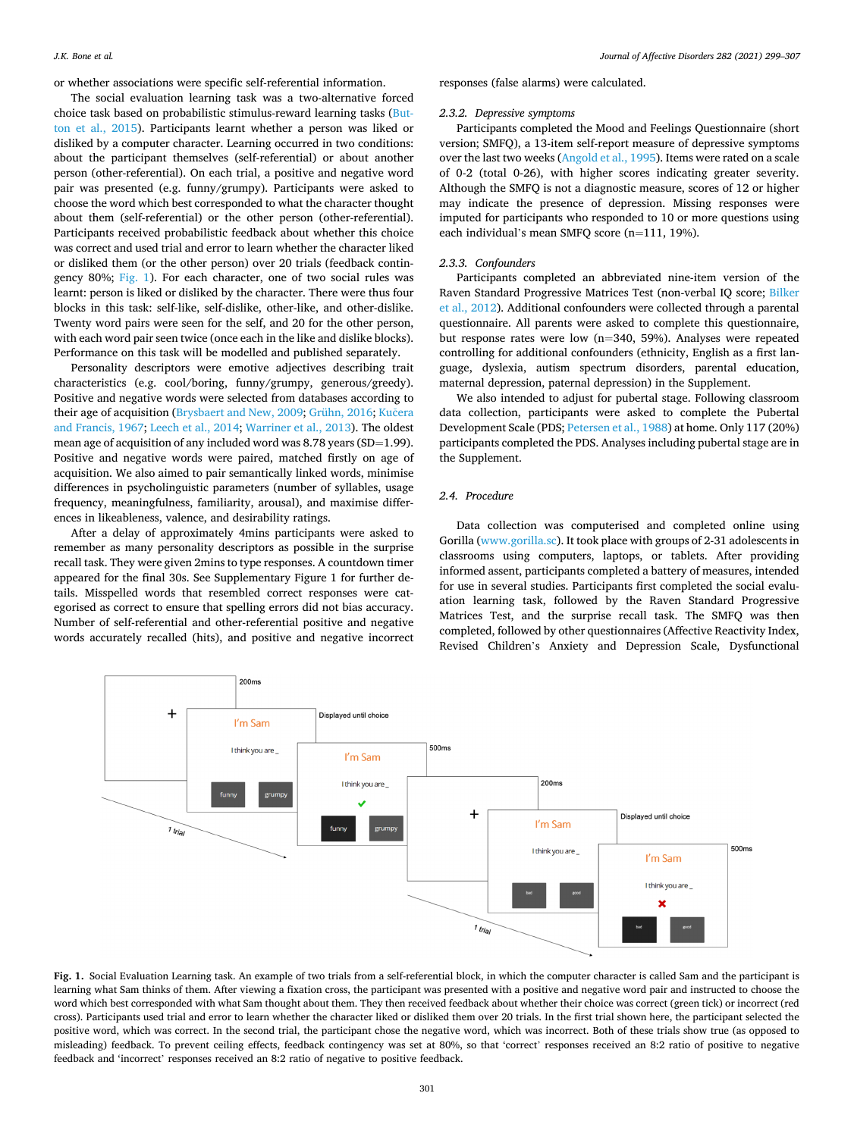or whether associations were specific self-referential information.

The social evaluation learning task was a two-alternative forced choice task based on probabilistic stimulus-reward learning tasks [\(But](#page-7-0)[ton et al., 2015\)](#page-7-0). Participants learnt whether a person was liked or disliked by a computer character. Learning occurred in two conditions: about the participant themselves (self-referential) or about another person (other-referential). On each trial, a positive and negative word pair was presented (e.g. funny/grumpy). Participants were asked to choose the word which best corresponded to what the character thought about them (self-referential) or the other person (other-referential). Participants received probabilistic feedback about whether this choice was correct and used trial and error to learn whether the character liked or disliked them (or the other person) over 20 trials (feedback contingency 80%; Fig. 1). For each character, one of two social rules was learnt: person is liked or disliked by the character. There were thus four blocks in this task: self-like, self-dislike, other-like, and other-dislike. Twenty word pairs were seen for the self, and 20 for the other person, with each word pair seen twice (once each in the like and dislike blocks). Performance on this task will be modelled and published separately.

Personality descriptors were emotive adjectives describing trait characteristics (e.g. cool/boring, funny/grumpy, generous/greedy). Positive and negative words were selected from databases according to their age of acquisition ([Brysbaert and New, 2009](#page-7-0); [Grühn, 2016](#page-8-0); Kučera [and Francis, 1967](#page-8-0); [Leech et al., 2014; Warriner et al., 2013\)](#page-8-0). The oldest mean age of acquisition of any included word was 8.78 years (SD=1.99). Positive and negative words were paired, matched firstly on age of acquisition. We also aimed to pair semantically linked words, minimise differences in psycholinguistic parameters (number of syllables, usage frequency, meaningfulness, familiarity, arousal), and maximise differences in likeableness, valence, and desirability ratings.

After a delay of approximately 4mins participants were asked to remember as many personality descriptors as possible in the surprise recall task. They were given 2mins to type responses. A countdown timer appeared for the final 30s. See Supplementary Figure 1 for further details. Misspelled words that resembled correct responses were categorised as correct to ensure that spelling errors did not bias accuracy. Number of self-referential and other-referential positive and negative words accurately recalled (hits), and positive and negative incorrect responses (false alarms) were calculated.

#### *2.3.2. Depressive symptoms*

Participants completed the Mood and Feelings Questionnaire (short version; SMFQ), a 13-item self-report measure of depressive symptoms over the last two weeks ([Angold et al., 1995\)](#page-7-0). Items were rated on a scale of 0-2 (total 0-26), with higher scores indicating greater severity. Although the SMFQ is not a diagnostic measure, scores of 12 or higher may indicate the presence of depression. Missing responses were imputed for participants who responded to 10 or more questions using each individual's mean SMFQ score (n=111, 19%).

#### *2.3.3. Confounders*

Participants completed an abbreviated nine-item version of the Raven Standard Progressive Matrices Test (non-verbal IQ score; [Bilker](#page-7-0)  [et al., 2012\)](#page-7-0). Additional confounders were collected through a parental questionnaire. All parents were asked to complete this questionnaire, but response rates were low (n=340, 59%). Analyses were repeated controlling for additional confounders (ethnicity, English as a first language, dyslexia, autism spectrum disorders, parental education, maternal depression, paternal depression) in the Supplement.

We also intended to adjust for pubertal stage. Following classroom data collection, participants were asked to complete the Pubertal Development Scale (PDS; [Petersen et al., 1988\)](#page-8-0) at home. Only 117 (20%) participants completed the PDS. Analyses including pubertal stage are in the Supplement.

### *2.4. Procedure*

Data collection was computerised and completed online using Gorilla [\(www.gorilla.sc](https://gorilla.sc)). It took place with groups of 2-31 adolescents in classrooms using computers, laptops, or tablets. After providing informed assent, participants completed a battery of measures, intended for use in several studies. Participants first completed the social evaluation learning task, followed by the Raven Standard Progressive Matrices Test, and the surprise recall task. The SMFQ was then completed, followed by other questionnaires (Affective Reactivity Index, Revised Children's Anxiety and Depression Scale, Dysfunctional



**Fig. 1.** Social Evaluation Learning task. An example of two trials from a self-referential block, in which the computer character is called Sam and the participant is learning what Sam thinks of them. After viewing a fixation cross, the participant was presented with a positive and negative word pair and instructed to choose the word which best corresponded with what Sam thought about them. They then received feedback about whether their choice was correct (green tick) or incorrect (red cross). Participants used trial and error to learn whether the character liked or disliked them over 20 trials. In the first trial shown here, the participant selected the positive word, which was correct. In the second trial, the participant chose the negative word, which was incorrect. Both of these trials show true (as opposed to misleading) feedback. To prevent ceiling effects, feedback contingency was set at 80%, so that 'correct' responses received an 8:2 ratio of positive to negative feedback and 'incorrect' responses received an 8:2 ratio of negative to positive feedback.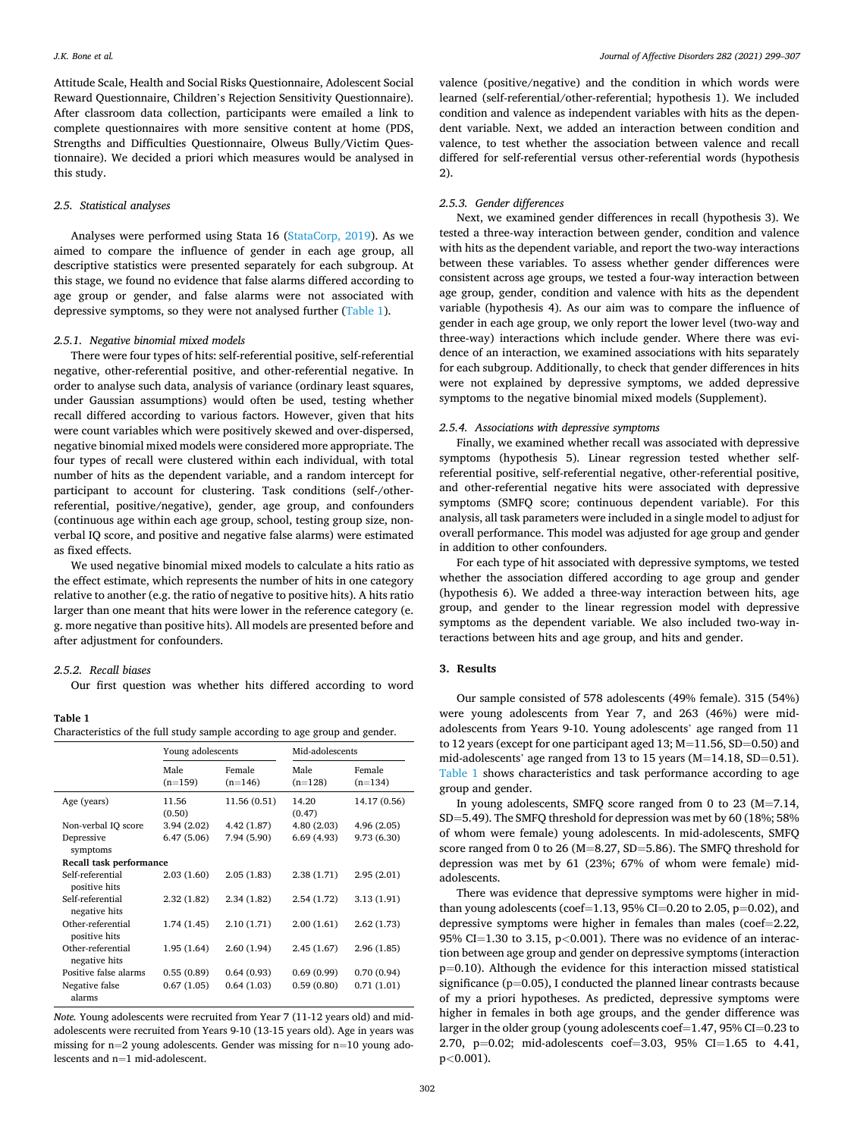<span id="page-3-0"></span>Attitude Scale, Health and Social Risks Questionnaire, Adolescent Social Reward Questionnaire, Children's Rejection Sensitivity Questionnaire). After classroom data collection, participants were emailed a link to complete questionnaires with more sensitive content at home (PDS, Strengths and Difficulties Questionnaire, Olweus Bully/Victim Questionnaire). We decided a priori which measures would be analysed in this study.

#### *2.5. Statistical analyses*

Analyses were performed using Stata 16 ([StataCorp, 2019\)](#page-8-0). As we aimed to compare the influence of gender in each age group, all descriptive statistics were presented separately for each subgroup. At this stage, we found no evidence that false alarms differed according to age group or gender, and false alarms were not associated with depressive symptoms, so they were not analysed further (Table 1).

#### *2.5.1. Negative binomial mixed models*

There were four types of hits: self-referential positive, self-referential negative, other-referential positive, and other-referential negative. In order to analyse such data, analysis of variance (ordinary least squares, under Gaussian assumptions) would often be used, testing whether recall differed according to various factors. However, given that hits were count variables which were positively skewed and over-dispersed, negative binomial mixed models were considered more appropriate. The four types of recall were clustered within each individual, with total number of hits as the dependent variable, and a random intercept for participant to account for clustering. Task conditions (self-/otherreferential, positive/negative), gender, age group, and confounders (continuous age within each age group, school, testing group size, nonverbal IQ score, and positive and negative false alarms) were estimated as fixed effects.

We used negative binomial mixed models to calculate a hits ratio as the effect estimate, which represents the number of hits in one category relative to another (e.g. the ratio of negative to positive hits). A hits ratio larger than one meant that hits were lower in the reference category (e. g. more negative than positive hits). All models are presented before and after adjustment for confounders.

## *2.5.2. Recall biases*

Our first question was whether hits differed according to word

#### **Table 1**

Characteristics of the full study sample according to age group and gender.

|                                    | Young adolescents |                     | Mid-adolescents   |                     |  |
|------------------------------------|-------------------|---------------------|-------------------|---------------------|--|
|                                    | Male<br>$(n=159)$ | Female<br>$(n=146)$ | Male<br>$(n=128)$ | Female<br>$(n=134)$ |  |
| Age (years)                        | 11.56<br>(0.50)   | 11.56 (0.51)        | 14.20<br>(0.47)   | 14.17 (0.56)        |  |
| Non-verbal IQ score                | 3.94(2.02)        | 4.42 (1.87)         | 4.80(2.03)        | 4.96(2.05)          |  |
| Depressive<br>symptoms             | 6.47(5.06)        | 7.94 (5.90)         | 6.69(4.93)        | 9.73 (6.30)         |  |
| Recall task performance            |                   |                     |                   |                     |  |
| Self-referential<br>positive hits  | 2.03(1.60)        | 2.05(1.83)          | 2.38(1.71)        | 2.95(2.01)          |  |
| Self-referential<br>negative hits  | 2.32(1.82)        | 2.34 (1.82)         | 2.54 (1.72)       | 3.13(1.91)          |  |
| Other-referential<br>positive hits | 1.74 (1.45)       | 2.10 (1.71)         | 2.00(1.61)        | 2.62 (1.73)         |  |
| Other-referential<br>negative hits | 1.95 (1.64)       | 2.60(1.94)          | 2.45(1.67)        | 2.96(1.85)          |  |
| Positive false alarms              | 0.55(0.89)        | 0.64(0.93)          | 0.69(0.99)        | 0.70(0.94)          |  |
| Negative false<br>alarms           | 0.67(1.05)        | 0.64(1.03)          | 0.59(0.80)        | 0.71(1.01)          |  |

*Note.* Young adolescents were recruited from Year 7 (11-12 years old) and midadolescents were recruited from Years 9-10 (13-15 years old). Age in years was missing for n=2 young adolescents. Gender was missing for n=10 young adolescents and n=1 mid-adolescent.

valence (positive/negative) and the condition in which words were learned (self-referential/other-referential; hypothesis 1). We included condition and valence as independent variables with hits as the dependent variable. Next, we added an interaction between condition and valence, to test whether the association between valence and recall differed for self-referential versus other-referential words (hypothesis 2).

#### *2.5.3. Gender differences*

Next, we examined gender differences in recall (hypothesis 3). We tested a three-way interaction between gender, condition and valence with hits as the dependent variable, and report the two-way interactions between these variables. To assess whether gender differences were consistent across age groups, we tested a four-way interaction between age group, gender, condition and valence with hits as the dependent variable (hypothesis 4). As our aim was to compare the influence of gender in each age group, we only report the lower level (two-way and three-way) interactions which include gender. Where there was evidence of an interaction, we examined associations with hits separately for each subgroup. Additionally, to check that gender differences in hits were not explained by depressive symptoms, we added depressive symptoms to the negative binomial mixed models (Supplement).

## *2.5.4. Associations with depressive symptoms*

Finally, we examined whether recall was associated with depressive symptoms (hypothesis 5). Linear regression tested whether selfreferential positive, self-referential negative, other-referential positive, and other-referential negative hits were associated with depressive symptoms (SMFQ score; continuous dependent variable). For this analysis, all task parameters were included in a single model to adjust for overall performance. This model was adjusted for age group and gender in addition to other confounders.

For each type of hit associated with depressive symptoms, we tested whether the association differed according to age group and gender (hypothesis 6). We added a three-way interaction between hits, age group, and gender to the linear regression model with depressive symptoms as the dependent variable. We also included two-way interactions between hits and age group, and hits and gender.

## **3. Results**

Our sample consisted of 578 adolescents (49% female). 315 (54%) were young adolescents from Year 7, and 263 (46%) were midadolescents from Years 9-10. Young adolescents' age ranged from 11 to 12 years (except for one participant aged 13; M=11.56, SD=0.50) and mid-adolescents' age ranged from 13 to 15 years (M=14.18, SD=0.51). Table 1 shows characteristics and task performance according to age group and gender.

In young adolescents, SMFQ score ranged from 0 to 23 (M=7.14, SD=5.49). The SMFQ threshold for depression was met by 60 (18%; 58% of whom were female) young adolescents. In mid-adolescents, SMFQ score ranged from 0 to 26 (M=8.27, SD=5.86). The SMFQ threshold for depression was met by 61 (23%; 67% of whom were female) midadolescents.

There was evidence that depressive symptoms were higher in midthan young adolescents (coef=1.13, 95% CI=0.20 to 2.05, p=0.02), and depressive symptoms were higher in females than males (coef=2.22, 95% CI=1.30 to 3.15, p*<*0.001). There was no evidence of an interaction between age group and gender on depressive symptoms (interaction p=0.10). Although the evidence for this interaction missed statistical significance (p=0.05), I conducted the planned linear contrasts because of my a priori hypotheses. As predicted, depressive symptoms were higher in females in both age groups, and the gender difference was larger in the older group (young adolescents coef=1.47, 95% CI=0.23 to 2.70, p=0.02; mid-adolescents coef=3.03, 95% CI=1.65 to 4.41, p*<*0.001).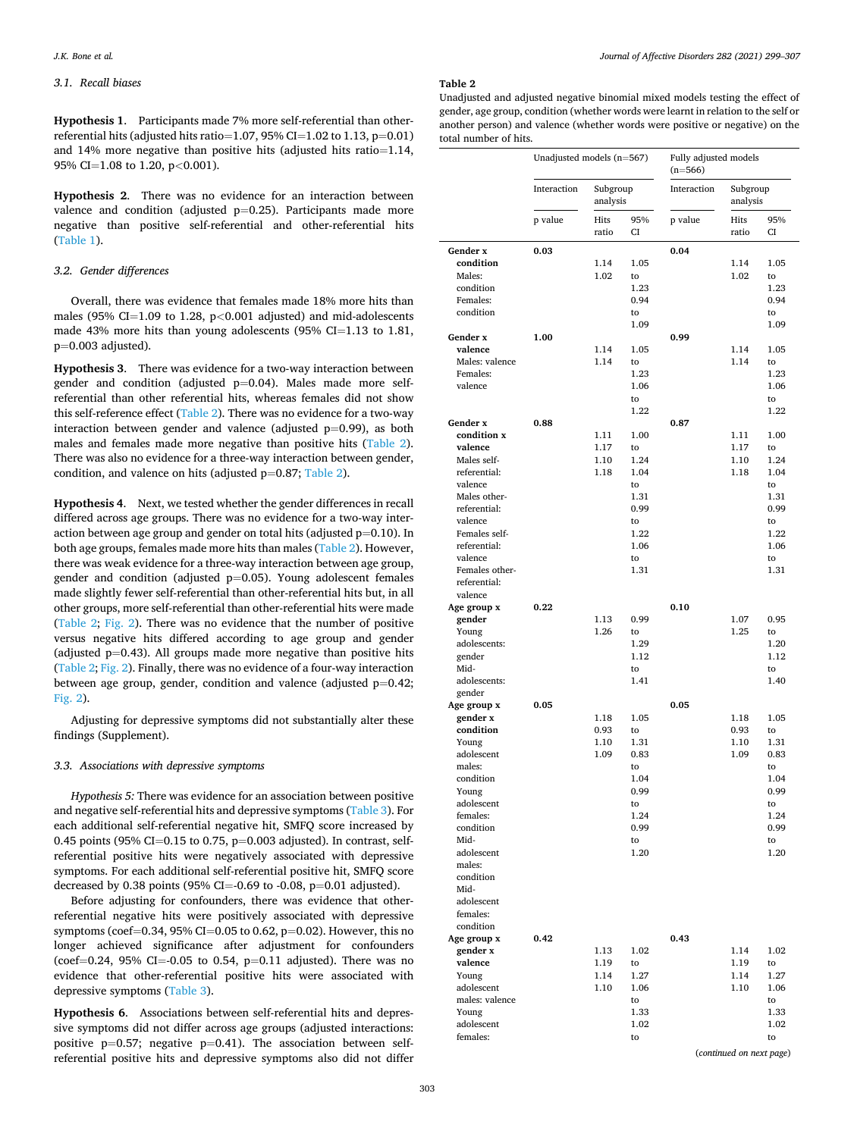## *3.1. Recall biases*

**Hypothesis 1**. Participants made 7% more self-referential than otherreferential hits (adjusted hits ratio=1.07, 95% CI=1.02 to 1.13, p=0.01) and 14% more negative than positive hits (adjusted hits ratio=1.14, 95% CI=1.08 to 1.20, p*<*0.001).

**Hypothesis 2**. There was no evidence for an interaction between valence and condition (adjusted  $p=0.25$ ). Participants made more negative than positive self-referential and other-referential hits ([Table 1](#page-3-0)).

#### *3.2. Gender differences*

Overall, there was evidence that females made 18% more hits than males (95% CI=1.09 to 1.28, p*<*0.001 adjusted) and mid-adolescents made 43% more hits than young adolescents (95% CI=1.13 to 1.81,  $p=0.003$  adjusted).

**Hypothesis 3**. There was evidence for a two-way interaction between gender and condition (adjusted  $p=0.04$ ). Males made more selfreferential than other referential hits, whereas females did not show this self-reference effect (Table 2). There was no evidence for a two-way interaction between gender and valence (adjusted  $p=0.99$ ), as both males and females made more negative than positive hits (Table 2). There was also no evidence for a three-way interaction between gender, condition, and valence on hits (adjusted  $p=0.87$ ; Table 2).

**Hypothesis 4**. Next, we tested whether the gender differences in recall differed across age groups. There was no evidence for a two-way interaction between age group and gender on total hits (adjusted  $p=0.10$ ). In both age groups, females made more hits than males (Table 2). However, there was weak evidence for a three-way interaction between age group, gender and condition (adjusted  $p=0.05$ ). Young adolescent females made slightly fewer self-referential than other-referential hits but, in all other groups, more self-referential than other-referential hits were made (Table 2; [Fig. 2](#page-6-0)). There was no evidence that the number of positive versus negative hits differed according to age group and gender (adjusted  $p=0.43$ ). All groups made more negative than positive hits (Table 2; [Fig. 2](#page-6-0)). Finally, there was no evidence of a four-way interaction between age group, gender, condition and valence (adjusted  $p=0.42$ ; [Fig. 2\)](#page-6-0).

Adjusting for depressive symptoms did not substantially alter these findings (Supplement).

#### *3.3. Associations with depressive symptoms*

*Hypothesis 5:* There was evidence for an association between positive and negative self-referential hits and depressive symptoms [\(Table 3](#page-6-0)). For each additional self-referential negative hit, SMFQ score increased by 0.45 points (95% CI=0.15 to 0.75,  $p=0.003$  adjusted). In contrast, selfreferential positive hits were negatively associated with depressive symptoms. For each additional self-referential positive hit, SMFQ score decreased by 0.38 points (95% CI=-0.69 to -0.08, p=0.01 adjusted).

Before adjusting for confounders, there was evidence that otherreferential negative hits were positively associated with depressive symptoms (coef=0.34, 95% CI=0.05 to 0.62, p=0.02). However, this no longer achieved significance after adjustment for confounders (coef=0.24, 95% CI=-0.05 to 0.54,  $p=0.11$  adjusted). There was no evidence that other-referential positive hits were associated with depressive symptoms ([Table 3](#page-6-0)).

**Hypothesis 6**. Associations between self-referential hits and depressive symptoms did not differ across age groups (adjusted interactions: positive  $p=0.57$ ; negative  $p=0.41$ ). The association between selfreferential positive hits and depressive symptoms also did not differ

#### **Table 2**

Unadjusted and adjusted negative binomial mixed models testing the effect of gender, age group, condition (whether words were learnt in relation to the self or another person) and valence (whether words were positive or negative) on the total number of hits.

|                                | Unadjusted models (n=567) |                      |              | Fully adjusted models<br>$(n=566)$ |                          |              |  |
|--------------------------------|---------------------------|----------------------|--------------|------------------------------------|--------------------------|--------------|--|
|                                | Interaction               | Subgroup<br>analysis |              | Interaction                        | Subgroup<br>analysis     |              |  |
|                                | p value                   | Hits<br>ratio        | 95%<br>CI    | p value                            | Hits<br>ratio            | 95%<br>CI    |  |
| Gender x                       | 0.03                      |                      |              | 0.04                               |                          |              |  |
| condition                      |                           | 1.14                 | 1.05         |                                    | 1.14                     | 1.05         |  |
| Males:                         |                           | 1.02                 | to           |                                    | 1.02                     | to           |  |
| condition                      |                           |                      | 1.23         |                                    |                          | 1.23         |  |
| Females:<br>condition          |                           |                      | 0.94<br>to   |                                    |                          | 0.94<br>to   |  |
|                                |                           |                      | 1.09         |                                    |                          | 1.09         |  |
| Gender x                       | 1.00                      |                      |              | 0.99                               |                          |              |  |
| valence                        |                           | 1.14                 | 1.05         |                                    | 1.14                     | 1.05         |  |
| Males: valence                 |                           | 1.14                 | to           |                                    | 1.14                     | to           |  |
| Females:                       |                           |                      | 1.23         |                                    |                          | 1.23         |  |
| valence                        |                           |                      | 1.06         |                                    |                          | 1.06         |  |
|                                |                           |                      | to<br>1.22   |                                    |                          | to<br>1.22   |  |
| Gender x                       | 0.88                      |                      |              | 0.87                               |                          |              |  |
| condition x                    |                           | 1.11                 | 1.00         |                                    | 1.11                     | 1.00         |  |
| valence                        |                           | 1.17                 | to           |                                    | 1.17                     | to           |  |
| Males self-                    |                           | 1.10                 | 1.24         |                                    | 1.10                     | 1.24         |  |
| referential:                   |                           | 1.18                 | 1.04         |                                    | 1.18                     | 1.04         |  |
| valence<br>Males other-        |                           |                      | to<br>1.31   |                                    |                          | to<br>1.31   |  |
| referential:                   |                           |                      | 0.99         |                                    |                          | 0.99         |  |
| valence                        |                           |                      | to           |                                    |                          | to           |  |
| Females self-                  |                           |                      | 1.22         |                                    |                          | 1.22         |  |
| referential:                   |                           |                      | 1.06         |                                    |                          | 1.06         |  |
| valence                        |                           |                      | to           |                                    |                          | to           |  |
| Females other-<br>referential: |                           |                      | 1.31         |                                    |                          | 1.31         |  |
| valence                        |                           |                      |              |                                    |                          |              |  |
| Age group x                    | 0.22                      |                      |              | 0.10                               |                          |              |  |
| gender                         |                           | 1.13                 | 0.99         |                                    | 1.07                     | 0.95         |  |
| Young                          |                           | 1.26                 | to           |                                    | 1.25                     | to           |  |
| adolescents:                   |                           |                      | 1.29<br>1.12 |                                    |                          | 1.20<br>1.12 |  |
| gender<br>Mid-                 |                           |                      | to           |                                    |                          | to           |  |
| adolescents:                   |                           |                      | 1.41         |                                    |                          | 1.40         |  |
| gender                         |                           |                      |              |                                    |                          |              |  |
| Age group x                    | 0.05                      |                      |              | 0.05                               |                          |              |  |
| gender x                       |                           | 1.18                 | 1.05         |                                    | 1.18                     | 1.05         |  |
| condition<br>Young             |                           | 0.93<br>1.10         | to<br>1.31   |                                    | 0.93<br>1.10             | to<br>1.31   |  |
| adolescent                     |                           | 1.09                 | 0.83         |                                    | 1.09                     | 0.83         |  |
| males:                         |                           |                      | to           |                                    |                          | to           |  |
| condition                      |                           |                      | 1.04         |                                    |                          | 1.04         |  |
| Young                          |                           |                      | 0.99         |                                    |                          | 0.99         |  |
| adolescent                     |                           |                      | to           |                                    |                          | to           |  |
| females:<br>condition          |                           |                      | 1.24<br>0.99 |                                    |                          | 1.24<br>0.99 |  |
| Mid-                           |                           |                      | to           |                                    |                          | to           |  |
| adolescent                     |                           |                      | 1.20         |                                    |                          | 1.20         |  |
| males:                         |                           |                      |              |                                    |                          |              |  |
| condition                      |                           |                      |              |                                    |                          |              |  |
| Mid-<br>adolescent             |                           |                      |              |                                    |                          |              |  |
| females:                       |                           |                      |              |                                    |                          |              |  |
| condition                      |                           |                      |              |                                    |                          |              |  |
| Age group x                    | 0.42                      |                      |              | 0.43                               |                          |              |  |
| gender x                       |                           | 1.13                 | 1.02         |                                    | 1.14                     | 1.02         |  |
| valence                        |                           | 1.19                 | to           |                                    | 1.19                     | to           |  |
| Young<br>adolescent            |                           | 1.14<br>1.10         | 1.27<br>1.06 |                                    | 1.14<br>1.10             | 1.27<br>1.06 |  |
| males: valence                 |                           |                      | to           |                                    |                          | to           |  |
| Young                          |                           |                      | 1.33         |                                    |                          | 1.33         |  |
| adolescent                     |                           |                      | 1.02         |                                    |                          | 1.02         |  |
| females:                       |                           |                      | to           |                                    |                          | to           |  |
|                                |                           |                      |              |                                    | (continued on next page) |              |  |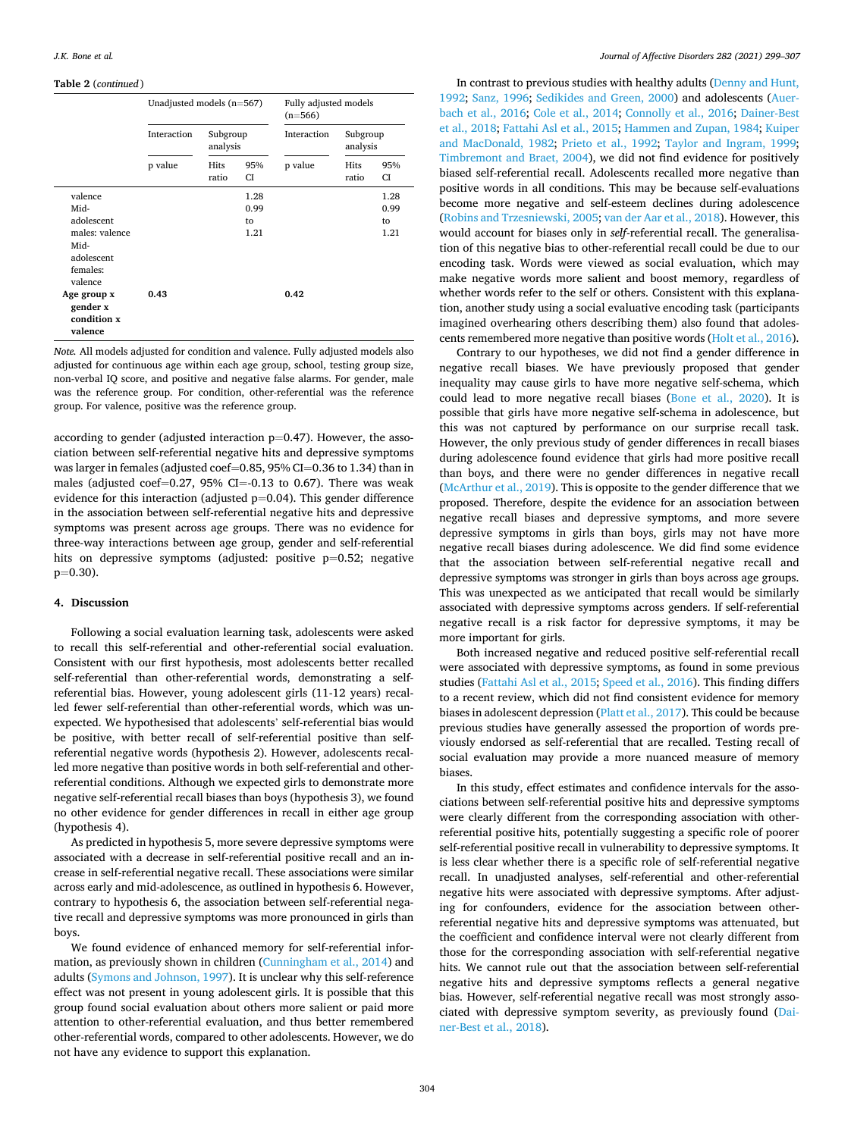#### **Table 2** (*continued* )

|                                                                                                                         | Unadjusted models (n=567) |                      |                            | Fully adjusted models<br>$(n=566)$ |               |                            |                      |  |
|-------------------------------------------------------------------------------------------------------------------------|---------------------------|----------------------|----------------------------|------------------------------------|---------------|----------------------------|----------------------|--|
|                                                                                                                         | Interaction               | Subgroup<br>analysis |                            |                                    |               | Interaction                | Subgroup<br>analysis |  |
|                                                                                                                         | p value                   | Hits<br>ratio        | 95%<br>СI                  | p value                            | Hits<br>ratio | 95%<br><b>CI</b>           |                      |  |
| valence<br>Mid-<br>adolescent<br>males: valence<br>Mid-<br>adolescent<br>females:<br>valence<br>Age group x<br>gender x | 0.43                      |                      | 1.28<br>0.99<br>to<br>1.21 | 0.42                               |               | 1.28<br>0.99<br>to<br>1.21 |                      |  |
| condition x<br>valence                                                                                                  |                           |                      |                            |                                    |               |                            |                      |  |

*Note.* All models adjusted for condition and valence. Fully adjusted models also adjusted for continuous age within each age group, school, testing group size, non-verbal IQ score, and positive and negative false alarms. For gender, male was the reference group. For condition, other-referential was the reference group. For valence, positive was the reference group.

according to gender (adjusted interaction  $p=0.47$ ). However, the association between self-referential negative hits and depressive symptoms was larger in females (adjusted coef=0.85, 95% CI=0.36 to 1.34) than in males (adjusted coef=0.27, 95% CI=-0.13 to 0.67). There was weak evidence for this interaction (adjusted  $p=0.04$ ). This gender difference in the association between self-referential negative hits and depressive symptoms was present across age groups. There was no evidence for three-way interactions between age group, gender and self-referential hits on depressive symptoms (adjusted: positive p=0.52; negative  $p=0.30$ ).

#### **4. Discussion**

Following a social evaluation learning task, adolescents were asked to recall this self-referential and other-referential social evaluation. Consistent with our first hypothesis, most adolescents better recalled self-referential than other-referential words, demonstrating a selfreferential bias. However, young adolescent girls (11-12 years) recalled fewer self-referential than other-referential words, which was unexpected. We hypothesised that adolescents' self-referential bias would be positive, with better recall of self-referential positive than selfreferential negative words (hypothesis 2). However, adolescents recalled more negative than positive words in both self-referential and otherreferential conditions. Although we expected girls to demonstrate more negative self-referential recall biases than boys (hypothesis 3), we found no other evidence for gender differences in recall in either age group (hypothesis 4).

As predicted in hypothesis 5, more severe depressive symptoms were associated with a decrease in self-referential positive recall and an increase in self-referential negative recall. These associations were similar across early and mid-adolescence, as outlined in hypothesis 6. However, contrary to hypothesis 6, the association between self-referential negative recall and depressive symptoms was more pronounced in girls than boys.

We found evidence of enhanced memory for self-referential information, as previously shown in children [\(Cunningham et al., 2014](#page-7-0)) and adults ([Symons and Johnson, 1997](#page-8-0)). It is unclear why this self-reference effect was not present in young adolescent girls. It is possible that this group found social evaluation about others more salient or paid more attention to other-referential evaluation, and thus better remembered other-referential words, compared to other adolescents. However, we do not have any evidence to support this explanation.

In contrast to previous studies with healthy adults [\(Denny and Hunt,](#page-7-0)  [1992;](#page-7-0) [Sanz, 1996](#page-8-0); [Sedikides and Green, 2000](#page-8-0)) and adolescents [\(Auer](#page-7-0)[bach et al., 2016](#page-7-0); [Cole et al., 2014](#page-7-0); [Connolly et al., 2016;](#page-7-0) [Dainer-Best](#page-7-0)  [et al., 2018; Fattahi Asl et al., 2015](#page-7-0); [Hammen and Zupan, 1984; Kuiper](#page-8-0)  [and MacDonald, 1982;](#page-8-0) [Prieto et al., 1992;](#page-8-0) [Taylor and Ingram, 1999](#page-8-0); [Timbremont and Braet, 2004\)](#page-8-0), we did not find evidence for positively biased self-referential recall. Adolescents recalled more negative than positive words in all conditions. This may be because self-evaluations become more negative and self-esteem declines during adolescence ([Robins and Trzesniewski, 2005; van der Aar et al., 2018](#page-8-0)). However, this would account for biases only in *self*-referential recall. The generalisation of this negative bias to other-referential recall could be due to our encoding task. Words were viewed as social evaluation, which may make negative words more salient and boost memory, regardless of whether words refer to the self or others. Consistent with this explanation, another study using a social evaluative encoding task (participants imagined overhearing others describing them) also found that adolescents remembered more negative than positive words ([Holt et al., 2016](#page-8-0)).

Contrary to our hypotheses, we did not find a gender difference in negative recall biases. We have previously proposed that gender inequality may cause girls to have more negative self-schema, which could lead to more negative recall biases [\(Bone et al., 2020](#page-7-0)). It is possible that girls have more negative self-schema in adolescence, but this was not captured by performance on our surprise recall task. However, the only previous study of gender differences in recall biases during adolescence found evidence that girls had more positive recall than boys, and there were no gender differences in negative recall ([McArthur et al., 2019](#page-8-0)). This is opposite to the gender difference that we proposed. Therefore, despite the evidence for an association between negative recall biases and depressive symptoms, and more severe depressive symptoms in girls than boys, girls may not have more negative recall biases during adolescence. We did find some evidence that the association between self-referential negative recall and depressive symptoms was stronger in girls than boys across age groups. This was unexpected as we anticipated that recall would be similarly associated with depressive symptoms across genders. If self-referential negative recall is a risk factor for depressive symptoms, it may be more important for girls.

Both increased negative and reduced positive self-referential recall were associated with depressive symptoms, as found in some previous studies [\(Fattahi Asl et al., 2015](#page-7-0); [Speed et al., 2016](#page-8-0)). This finding differs to a recent review, which did not find consistent evidence for memory biases in adolescent depression ([Platt et al., 2017\)](#page-8-0). This could be because previous studies have generally assessed the proportion of words previously endorsed as self-referential that are recalled. Testing recall of social evaluation may provide a more nuanced measure of memory biases.

In this study, effect estimates and confidence intervals for the associations between self-referential positive hits and depressive symptoms were clearly different from the corresponding association with otherreferential positive hits, potentially suggesting a specific role of poorer self-referential positive recall in vulnerability to depressive symptoms. It is less clear whether there is a specific role of self-referential negative recall. In unadjusted analyses, self-referential and other-referential negative hits were associated with depressive symptoms. After adjusting for confounders, evidence for the association between otherreferential negative hits and depressive symptoms was attenuated, but the coefficient and confidence interval were not clearly different from those for the corresponding association with self-referential negative hits. We cannot rule out that the association between self-referential negative hits and depressive symptoms reflects a general negative bias. However, self-referential negative recall was most strongly associated with depressive symptom severity, as previously found [\(Dai](#page-7-0)[ner-Best et al., 2018\)](#page-7-0).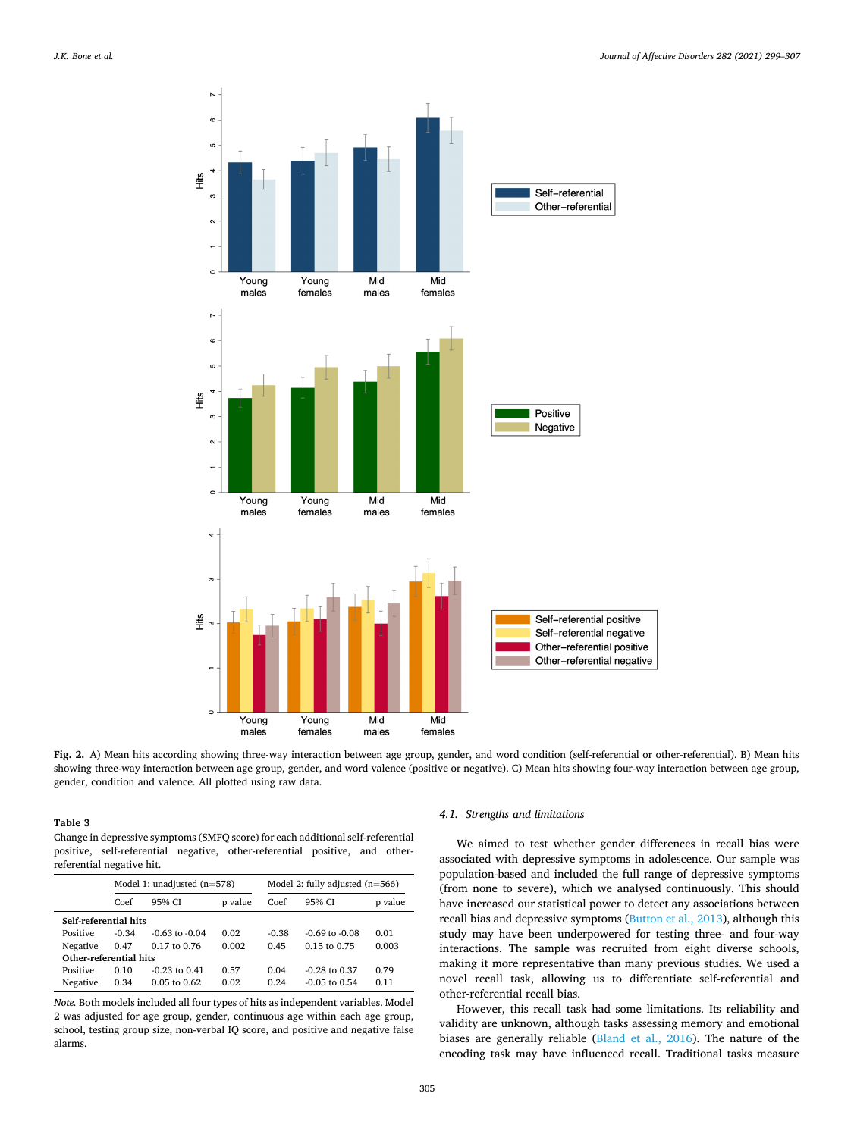<span id="page-6-0"></span>

**Fig. 2.** A) Mean hits according showing three-way interaction between age group, gender, and word condition (self-referential or other-referential). B) Mean hits showing three-way interaction between age group, gender, and word valence (positive or negative). C) Mean hits showing four-way interaction between age group, gender, condition and valence. All plotted using raw data.

**Table 3** 

Change in depressive symptoms (SMFQ score) for each additional self-referential positive, self-referential negative, other-referential positive, and otherreferential negative hit.

|                        | Model 1: unadjusted $(n=578)$ |                    |         | Model 2: fully adjusted $(n=566)$ |                    |         |  |  |  |
|------------------------|-------------------------------|--------------------|---------|-----------------------------------|--------------------|---------|--|--|--|
|                        | Coef                          | 95% CI             | p value | Coef                              | 95% CI             | p value |  |  |  |
|                        | Self-referential hits         |                    |         |                                   |                    |         |  |  |  |
| Positive               | $-0.34$                       | $-0.63$ to $-0.04$ | 0.02    | $-0.38$                           | $-0.69$ to $-0.08$ | 0.01    |  |  |  |
| Negative               | 0.47                          | $0.17$ to $0.76$   | 0.002   | 0.45                              | $0.15$ to $0.75$   | 0.003   |  |  |  |
| Other-referential hits |                               |                    |         |                                   |                    |         |  |  |  |
| Positive               | 0.10                          | $-0.23$ to $0.41$  | 0.57    | 0.04                              | $-0.28$ to $0.37$  | 0.79    |  |  |  |
| Negative               | 0.34                          | $0.05$ to $0.62$   | 0.02    | 0.24                              | $-0.05$ to 0.54    | 0.11    |  |  |  |

*Note.* Both models included all four types of hits as independent variables. Model 2 was adjusted for age group, gender, continuous age within each age group, school, testing group size, non-verbal IQ score, and positive and negative false alarms.

#### *4.1. Strengths and limitations*

We aimed to test whether gender differences in recall bias were associated with depressive symptoms in adolescence. Our sample was population-based and included the full range of depressive symptoms (from none to severe), which we analysed continuously. This should have increased our statistical power to detect any associations between recall bias and depressive symptoms ([Button et al., 2013](#page-7-0)), although this study may have been underpowered for testing three- and four-way interactions. The sample was recruited from eight diverse schools, making it more representative than many previous studies. We used a novel recall task, allowing us to differentiate self-referential and other-referential recall bias.

However, this recall task had some limitations. Its reliability and validity are unknown, although tasks assessing memory and emotional biases are generally reliable [\(Bland et al., 2016](#page-7-0)). The nature of the encoding task may have influenced recall. Traditional tasks measure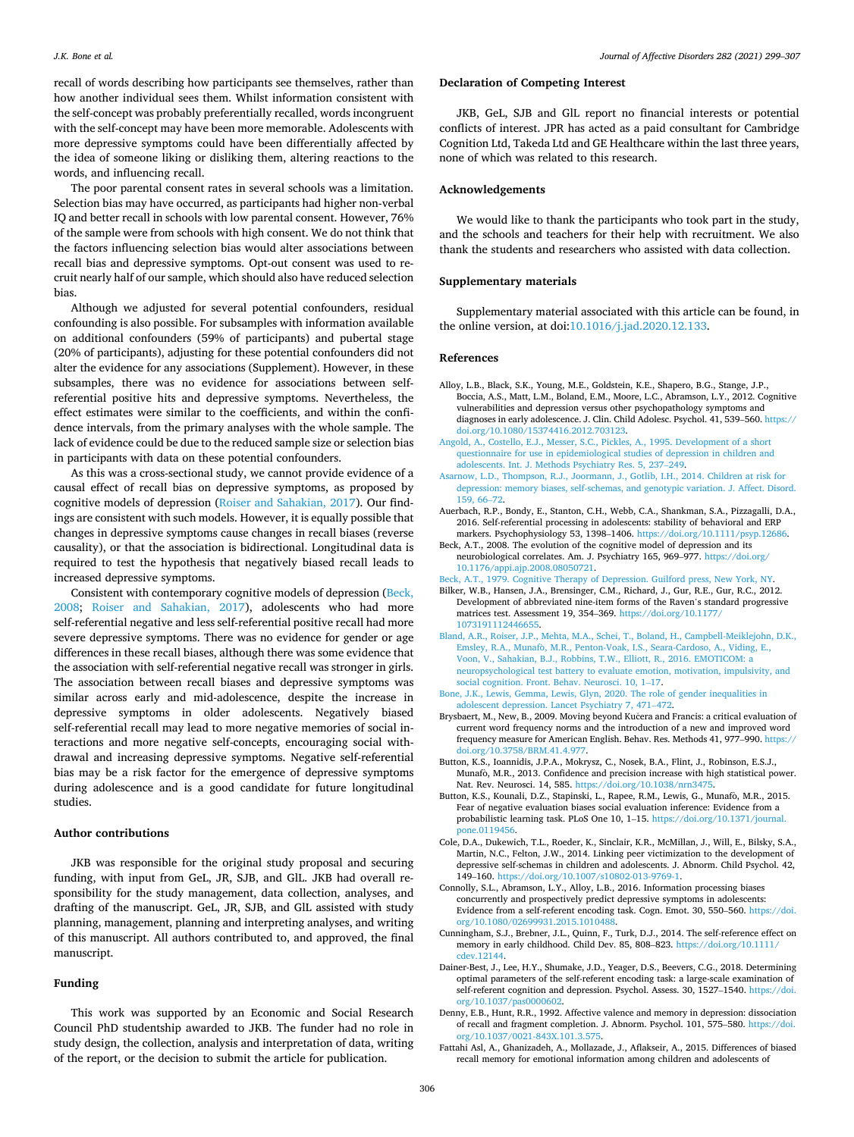<span id="page-7-0"></span>recall of words describing how participants see themselves, rather than how another individual sees them. Whilst information consistent with the self-concept was probably preferentially recalled, words incongruent with the self-concept may have been more memorable. Adolescents with more depressive symptoms could have been differentially affected by the idea of someone liking or disliking them, altering reactions to the words, and influencing recall.

The poor parental consent rates in several schools was a limitation. Selection bias may have occurred, as participants had higher non-verbal IQ and better recall in schools with low parental consent. However, 76% of the sample were from schools with high consent. We do not think that the factors influencing selection bias would alter associations between recall bias and depressive symptoms. Opt-out consent was used to recruit nearly half of our sample, which should also have reduced selection bias.

Although we adjusted for several potential confounders, residual confounding is also possible. For subsamples with information available on additional confounders (59% of participants) and pubertal stage (20% of participants), adjusting for these potential confounders did not alter the evidence for any associations (Supplement). However, in these subsamples, there was no evidence for associations between selfreferential positive hits and depressive symptoms. Nevertheless, the effect estimates were similar to the coefficients, and within the confidence intervals, from the primary analyses with the whole sample. The lack of evidence could be due to the reduced sample size or selection bias in participants with data on these potential confounders.

As this was a cross-sectional study, we cannot provide evidence of a causal effect of recall bias on depressive symptoms, as proposed by cognitive models of depression ([Roiser and Sahakian, 2017](#page-8-0)). Our findings are consistent with such models. However, it is equally possible that changes in depressive symptoms cause changes in recall biases (reverse causality), or that the association is bidirectional. Longitudinal data is required to test the hypothesis that negatively biased recall leads to increased depressive symptoms.

Consistent with contemporary cognitive models of depression (Beck, 2008; [Roiser and Sahakian, 2017\)](#page-8-0), adolescents who had more self-referential negative and less self-referential positive recall had more severe depressive symptoms. There was no evidence for gender or age differences in these recall biases, although there was some evidence that the association with self-referential negative recall was stronger in girls. The association between recall biases and depressive symptoms was similar across early and mid-adolescence, despite the increase in depressive symptoms in older adolescents. Negatively biased self-referential recall may lead to more negative memories of social interactions and more negative self-concepts, encouraging social withdrawal and increasing depressive symptoms. Negative self-referential bias may be a risk factor for the emergence of depressive symptoms during adolescence and is a good candidate for future longitudinal studies.

#### **Author contributions**

JKB was responsible for the original study proposal and securing funding, with input from GeL, JR, SJB, and GlL. JKB had overall responsibility for the study management, data collection, analyses, and drafting of the manuscript. GeL, JR, SJB, and GlL assisted with study planning, management, planning and interpreting analyses, and writing of this manuscript. All authors contributed to, and approved, the final manuscript.

### **Funding**

This work was supported by an Economic and Social Research Council PhD studentship awarded to JKB. The funder had no role in study design, the collection, analysis and interpretation of data, writing of the report, or the decision to submit the article for publication.

## **Declaration of Competing Interest**

JKB, GeL, SJB and GlL report no financial interests or potential conflicts of interest. JPR has acted as a paid consultant for Cambridge Cognition Ltd, Takeda Ltd and GE Healthcare within the last three years, none of which was related to this research.

#### **Acknowledgements**

We would like to thank the participants who took part in the study, and the schools and teachers for their help with recruitment. We also thank the students and researchers who assisted with data collection.

## **Supplementary materials**

Supplementary material associated with this article can be found, in the online version, at doi:[10.1016/j.jad.2020.12.133](https://doi.org/10.1016/j.jad.2020.12.133).

#### **References**

- Alloy, L.B., Black, S.K., Young, M.E., Goldstein, K.E., Shapero, B.G., Stange, J.P., Boccia, A.S., Matt, L.M., Boland, E.M., Moore, L.C., Abramson, L.Y., 2012. Cognitive vulnerabilities and depression versus other psychopathology symptoms and diagnoses in early adolescence. J. Clin. Child Adolesc. Psychol. 41, 539–560. [https://](https://doi.org/10.1080/15374416.2012.703123)  [doi.org/10.1080/15374416.2012.703123](https://doi.org/10.1080/15374416.2012.703123).
- [Angold, A., Costello, E.J., Messer, S.C., Pickles, A., 1995. Development of a short](http://refhub.elsevier.com/S0165-0327(20)33223-7/sbref0002) [questionnaire for use in epidemiological studies of depression in children and](http://refhub.elsevier.com/S0165-0327(20)33223-7/sbref0002) [adolescents. Int. J. Methods Psychiatry Res. 5, 237](http://refhub.elsevier.com/S0165-0327(20)33223-7/sbref0002)–249.
- [Asarnow, L.D., Thompson, R.J., Joormann, J., Gotlib, I.H., 2014. Children at risk for](http://refhub.elsevier.com/S0165-0327(20)33223-7/sbref0003) [depression: memory biases, self-schemas, and genotypic variation. J. Affect. Disord.](http://refhub.elsevier.com/S0165-0327(20)33223-7/sbref0003)  [159, 66](http://refhub.elsevier.com/S0165-0327(20)33223-7/sbref0003)–72.
- Auerbach, R.P., Bondy, E., Stanton, C.H., Webb, C.A., Shankman, S.A., Pizzagalli, D.A., 2016. Self-referential processing in adolescents: stability of behavioral and ERP markers. Psychophysiology 53, 1398–1406. <https://doi.org/10.1111/psyp.12686>.
- Beck, A.T., 2008. The evolution of the cognitive model of depression and its neurobiological correlates. Am. J. Psychiatry 165, 969–977. [https://doi.org/](https://doi.org/10.1176/appi.ajp.2008.08050721)  [10.1176/appi.ajp.2008.08050721](https://doi.org/10.1176/appi.ajp.2008.08050721).
- [Beck, A.T., 1979. Cognitive Therapy of Depression. Guilford press, New York, NY](http://refhub.elsevier.com/S0165-0327(20)33223-7/sbref0006). Bilker, W.B., Hansen, J.A., Brensinger, C.M., Richard, J., Gur, R.E., Gur, R.C., 2012. Development of abbreviated nine-item forms of the Raven's standard progressive matrices test. Assessment 19, 354–369. [https://doi.org/10.1177/](https://doi.org/10.1177/1073191112446655) [1073191112446655.](https://doi.org/10.1177/1073191112446655)
- [Bland, A.R., Roiser, J.P., Mehta, M.A., Schei, T., Boland, H., Campbell-Meiklejohn, D.K.,](http://refhub.elsevier.com/S0165-0327(20)33223-7/sbref0008)  Emsley, R.A., Munafò, [M.R., Penton-Voak, I.S., Seara-Cardoso, A., Viding, E.,](http://refhub.elsevier.com/S0165-0327(20)33223-7/sbref0008) [Voon, V., Sahakian, B.J., Robbins, T.W., Elliott, R., 2016. EMOTICOM: a](http://refhub.elsevier.com/S0165-0327(20)33223-7/sbref0008)  [neuropsychological test battery to evaluate emotion, motivation, impulsivity, and](http://refhub.elsevier.com/S0165-0327(20)33223-7/sbref0008) [social cognition. Front. Behav. Neurosci. 10, 1](http://refhub.elsevier.com/S0165-0327(20)33223-7/sbref0008)–17.
- [Bone, J.K., Lewis, Gemma, Lewis, Glyn, 2020. The role of gender inequalities in](http://refhub.elsevier.com/S0165-0327(20)33223-7/sbref0009) [adolescent depression. Lancet Psychiatry 7, 471](http://refhub.elsevier.com/S0165-0327(20)33223-7/sbref0009)–472.
- Brysbaert, M., New, B., 2009. Moving beyond Kučera and Francis: a critical evaluation of current word frequency norms and the introduction of a new and improved word frequency measure for American English. Behav. Res. Methods 41, 977–990. [https://](https://doi.org/10.3758/BRM.41.4.977)  [doi.org/10.3758/BRM.41.4.977.](https://doi.org/10.3758/BRM.41.4.977)
- Button, K.S., Ioannidis, J.P.A., Mokrysz, C., Nosek, B.A., Flint, J., Robinson, E.S.J., Munafo, M.R., 2013. Confidence and precision increase with high statistical power. Nat. Rev. Neurosci. 14, 585.<https://doi.org/10.1038/nrn3475>.
- Button, K.S., Kounali, D.Z., Stapinski, L., Rapee, R.M., Lewis, G., Munafò, M.R., 2015. Fear of negative evaluation biases social evaluation inference: Evidence from a probabilistic learning task. PLoS One 10, 1–15. [https://doi.org/10.1371/journal.](https://doi.org/10.1371/journal.pone.0119456)  [pone.0119456](https://doi.org/10.1371/journal.pone.0119456).
- Cole, D.A., Dukewich, T.L., Roeder, K., Sinclair, K.R., McMillan, J., Will, E., Bilsky, S.A., Martin, N.C., Felton, J.W., 2014. Linking peer victimization to the development of depressive self-schemas in children and adolescents. J. Abnorm. Child Psychol. 42, 149–160. <https://doi.org/10.1007/s10802-013-9769-1>.
- Connolly, S.L., Abramson, L.Y., Alloy, L.B., 2016. Information processing biases concurrently and prospectively predict depressive symptoms in adolescents: Evidence from a self-referent encoding task. Cogn. Emot. 30, 550–560. [https://doi.](https://doi.org/10.1080/02699931.2015.1010488)  [org/10.1080/02699931.2015.1010488](https://doi.org/10.1080/02699931.2015.1010488).
- Cunningham, S.J., Brebner, J.L., Quinn, F., Turk, D.J., 2014. The self-reference effect on memory in early childhood. Child Dev. 85, 808–823. [https://doi.org/10.1111/](https://doi.org/10.1111/cdev.12144)  [cdev.12144](https://doi.org/10.1111/cdev.12144).
- Dainer-Best, J., Lee, H.Y., Shumake, J.D., Yeager, D.S., Beevers, C.G., 2018. Determining optimal parameters of the self-referent encoding task: a large-scale examination of self-referent cognition and depression. Psychol. Assess. 30, 1527–1540. [https://doi.](https://doi.org/10.1037/pas0000602)  [org/10.1037/pas0000602.](https://doi.org/10.1037/pas0000602)
- Denny, E.B., Hunt, R.R., 1992. Affective valence and memory in depression: dissociation of recall and fragment completion. J. Abnorm. Psychol. 101, 575–580. [https://doi.](https://doi.org/10.1037/0021-843X.101.3.575) [org/10.1037/0021-843X.101.3.575](https://doi.org/10.1037/0021-843X.101.3.575).
- Fattahi Asl, A., Ghanizadeh, A., Mollazade, J., Aflakseir, A., 2015. Differences of biased recall memory for emotional information among children and adolescents of